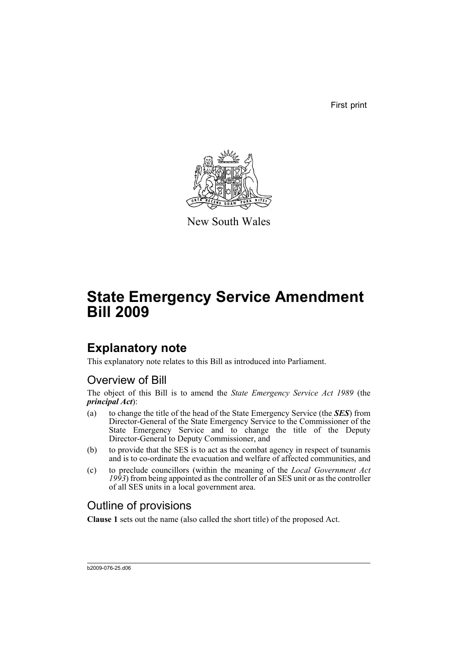First print



New South Wales

# **State Emergency Service Amendment Bill 2009**

# **Explanatory note**

This explanatory note relates to this Bill as introduced into Parliament.

## Overview of Bill

The object of this Bill is to amend the *State Emergency Service Act 1989* (the *principal Act*):

- (a) to change the title of the head of the State Emergency Service (the *SES*) from Director-General of the State Emergency Service to the Commissioner of the State Emergency Service and to change the title of the Deputy Director-General to Deputy Commissioner, and
- (b) to provide that the SES is to act as the combat agency in respect of tsunamis and is to co-ordinate the evacuation and welfare of affected communities, and
- (c) to preclude councillors (within the meaning of the *Local Government Act 1993*) from being appointed as the controller of an SES unit or as the controller of all SES units in a local government area.

## Outline of provisions

**Clause 1** sets out the name (also called the short title) of the proposed Act.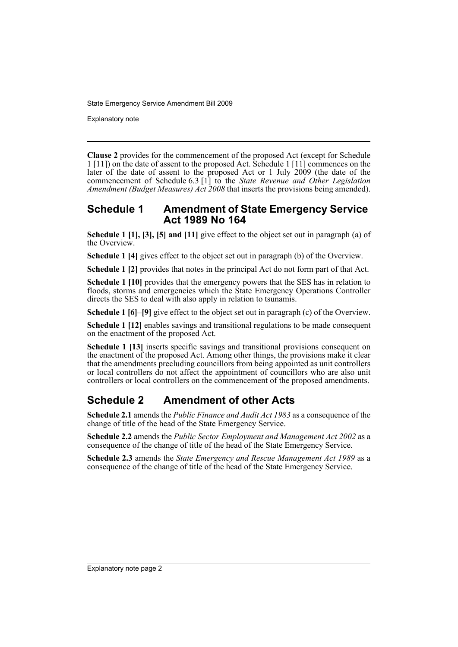Explanatory note

**Clause 2** provides for the commencement of the proposed Act (except for Schedule 1 [11]) on the date of assent to the proposed Act. Schedule 1 [11] commences on the later of the date of assent to the proposed Act or 1 July 2009 (the date of the commencement of Schedule 6.3 [1] to the *State Revenue and Other Legislation Amendment (Budget Measures) Act 2008* that inserts the provisions being amended).

#### **Schedule 1 Amendment of State Emergency Service Act 1989 No 164**

**Schedule 1 [1], [3], [5] and [11]** give effect to the object set out in paragraph (a) of the Overview.

**Schedule 1 [4]** gives effect to the object set out in paragraph (b) of the Overview.

**Schedule 1 [2]** provides that notes in the principal Act do not form part of that Act.

**Schedule 1 [10]** provides that the emergency powers that the SES has in relation to floods, storms and emergencies which the State Emergency Operations Controller directs the SES to deal with also apply in relation to tsunamis.

**Schedule 1 [6]–[9]** give effect to the object set out in paragraph (c) of the Overview.

**Schedule 1 [12]** enables savings and transitional regulations to be made consequent on the enactment of the proposed Act.

**Schedule 1 [13]** inserts specific savings and transitional provisions consequent on the enactment of the proposed Act. Among other things, the provisions make it clear that the amendments precluding councillors from being appointed as unit controllers or local controllers do not affect the appointment of councillors who are also unit controllers or local controllers on the commencement of the proposed amendments.

## **Schedule 2 Amendment of other Acts**

**Schedule 2.1** amends the *Public Finance and Audit Act 1983* as a consequence of the change of title of the head of the State Emergency Service.

**Schedule 2.2** amends the *Public Sector Employment and Management Act 2002* as a consequence of the change of title of the head of the State Emergency Service.

**Schedule 2.3** amends the *State Emergency and Rescue Management Act 1989* as a consequence of the change of title of the head of the State Emergency Service.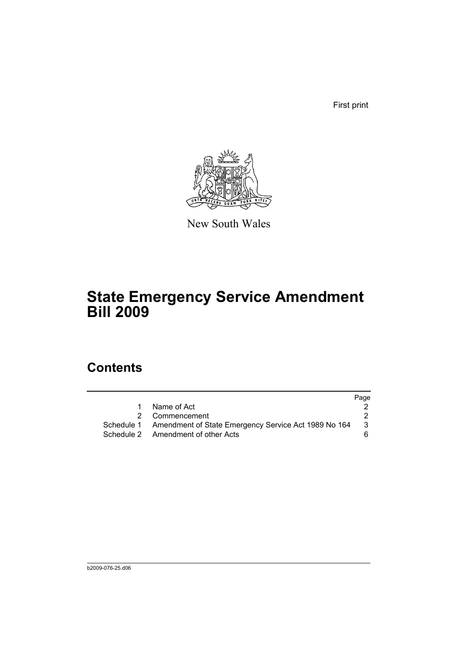First print



New South Wales

# **State Emergency Service Amendment Bill 2009**

# **Contents**

|                                                                 | Page |
|-----------------------------------------------------------------|------|
| Name of Act<br>$1 \quad$                                        |      |
| 2 Commencement                                                  |      |
| Schedule 1 Amendment of State Emergency Service Act 1989 No 164 | 3    |
| Schedule 2 Amendment of other Acts                              | 6.   |
|                                                                 |      |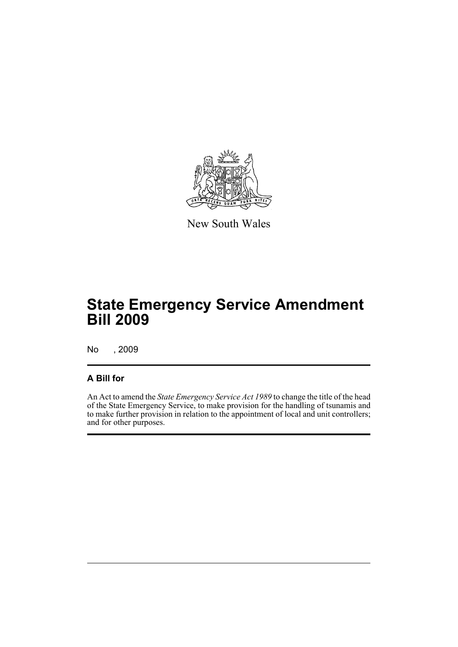

New South Wales

# **State Emergency Service Amendment Bill 2009**

No , 2009

#### **A Bill for**

An Act to amend the *State Emergency Service Act 1989* to change the title of the head of the State Emergency Service, to make provision for the handling of tsunamis and to make further provision in relation to the appointment of local and unit controllers; and for other purposes.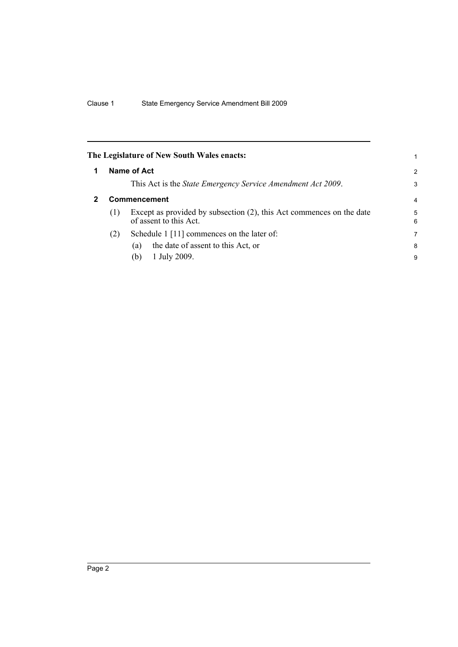<span id="page-5-1"></span><span id="page-5-0"></span>

|   |                     | The Legislature of New South Wales enacts:                                                     | 1 |  |
|---|---------------------|------------------------------------------------------------------------------------------------|---|--|
| 1 |                     | Name of Act                                                                                    |   |  |
|   |                     | This Act is the <i>State Emergency Service Amendment Act 2009</i> .                            | 3 |  |
| 2 | <b>Commencement</b> |                                                                                                |   |  |
|   | (1)                 | Except as provided by subsection (2), this Act commences on the date<br>of assent to this Act. |   |  |
|   | (2)                 | Schedule 1 [11] commences on the later of:                                                     | 7 |  |
|   |                     | the date of assent to this Act, or<br>(a)                                                      | 8 |  |
|   |                     | 1 July 2009.<br>(b)                                                                            | 9 |  |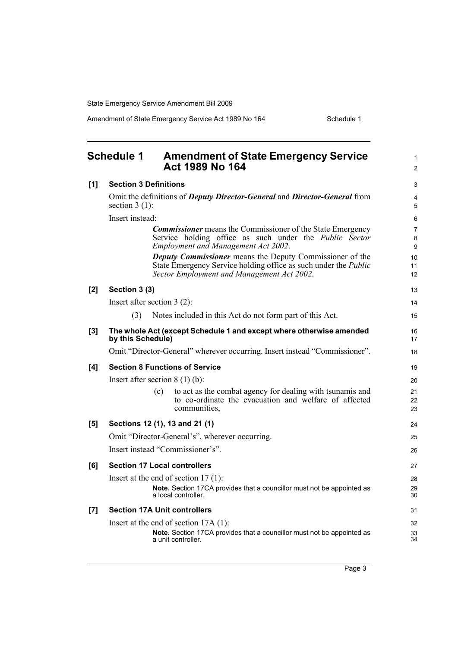Amendment of State Emergency Service Act 1989 No 164 Schedule 1

<span id="page-6-0"></span>

|     | <b>Schedule 1</b><br><b>Amendment of State Emergency Service</b><br>Act 1989 No 164                                                                                                     | $\mathbf{1}$<br>2        |  |  |
|-----|-----------------------------------------------------------------------------------------------------------------------------------------------------------------------------------------|--------------------------|--|--|
| [1] | <b>Section 3 Definitions</b>                                                                                                                                                            | 3                        |  |  |
|     | Omit the definitions of <i>Deputy Director-General</i> and <i>Director-General</i> from<br>section $3(1)$ :                                                                             | $\overline{4}$<br>5      |  |  |
|     | Insert instead:                                                                                                                                                                         | 6                        |  |  |
|     | <b>Commissioner</b> means the Commissioner of the State Emergency<br>Service holding office as such under the <i>Public Sector</i><br><b>Employment and Management Act 2002.</b>        | $\overline{7}$<br>8<br>9 |  |  |
|     | <b>Deputy Commissioner</b> means the Deputy Commissioner of the<br>State Emergency Service holding office as such under the <i>Public</i><br>Sector Employment and Management Act 2002. | 10<br>11<br>12           |  |  |
| [2] | Section 3 (3)                                                                                                                                                                           | 13                       |  |  |
|     | Insert after section $3(2)$ :                                                                                                                                                           | 14                       |  |  |
|     | Notes included in this Act do not form part of this Act.<br>(3)                                                                                                                         | 15                       |  |  |
| [3] | The whole Act (except Schedule 1 and except where otherwise amended<br>by this Schedule)                                                                                                | 16<br>17                 |  |  |
|     | Omit "Director-General" wherever occurring. Insert instead "Commissioner".                                                                                                              | 18                       |  |  |
| [4] | <b>Section 8 Functions of Service</b>                                                                                                                                                   |                          |  |  |
|     | Insert after section $8(1)(b)$ :                                                                                                                                                        |                          |  |  |
|     | to act as the combat agency for dealing with tsunamis and<br>(c)<br>to co-ordinate the evacuation and welfare of affected<br>communities,                                               | 21<br>22<br>23           |  |  |
| [5] | Sections 12 (1), 13 and 21 (1)                                                                                                                                                          |                          |  |  |
|     | Omit "Director-General's", wherever occurring.                                                                                                                                          | 25                       |  |  |
|     | Insert instead "Commissioner's".                                                                                                                                                        | 26                       |  |  |
| [6] | <b>Section 17 Local controllers</b>                                                                                                                                                     | 27                       |  |  |
|     | Insert at the end of section $17(1)$ :                                                                                                                                                  | 28                       |  |  |
|     | Note. Section 17CA provides that a councillor must not be appointed as<br>a local controller.                                                                                           | 29<br>30                 |  |  |
| [7] | <b>Section 17A Unit controllers</b>                                                                                                                                                     | 31                       |  |  |
|     | Insert at the end of section $17A(1)$ :                                                                                                                                                 | 32                       |  |  |
|     | Note. Section 17CA provides that a councillor must not be appointed as<br>a unit controller.                                                                                            | 33<br>34                 |  |  |
|     |                                                                                                                                                                                         |                          |  |  |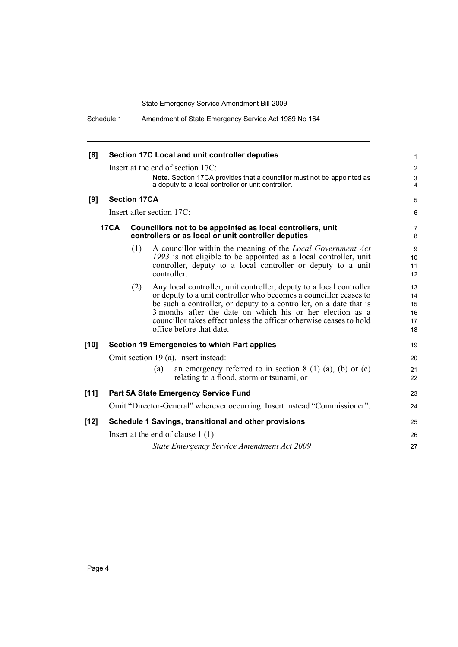| [8]    |                                      |                     | Section 17C Local and unit controller deputies                                                                                                                                                                                                                                                                                                                                 | 1                                |
|--------|--------------------------------------|---------------------|--------------------------------------------------------------------------------------------------------------------------------------------------------------------------------------------------------------------------------------------------------------------------------------------------------------------------------------------------------------------------------|----------------------------------|
|        |                                      |                     | Insert at the end of section 17C:                                                                                                                                                                                                                                                                                                                                              | $\overline{c}$                   |
|        |                                      |                     | Note. Section 17CA provides that a councillor must not be appointed as<br>a deputy to a local controller or unit controller.                                                                                                                                                                                                                                                   | $\sqrt{3}$<br>$\overline{4}$     |
| [9]    |                                      | <b>Section 17CA</b> |                                                                                                                                                                                                                                                                                                                                                                                | 5                                |
|        |                                      |                     | Insert after section 17C:                                                                                                                                                                                                                                                                                                                                                      | 6                                |
|        | <b>17CA</b>                          |                     | Councillors not to be appointed as local controllers, unit<br>controllers or as local or unit controller deputies                                                                                                                                                                                                                                                              | 7<br>8                           |
|        |                                      | (1)                 | A councillor within the meaning of the Local Government Act<br>1993 is not eligible to be appointed as a local controller, unit<br>controller, deputy to a local controller or deputy to a unit<br>controller.                                                                                                                                                                 | 9<br>10<br>11<br>12              |
|        |                                      | (2)                 | Any local controller, unit controller, deputy to a local controller<br>or deputy to a unit controller who becomes a councillor ceases to<br>be such a controller, or deputy to a controller, on a date that is<br>3 months after the date on which his or her election as a<br>councillor takes effect unless the officer otherwise ceases to hold<br>office before that date. | 13<br>14<br>15<br>16<br>17<br>18 |
| $[10]$ |                                      |                     | <b>Section 19 Emergencies to which Part applies</b>                                                                                                                                                                                                                                                                                                                            | 19                               |
|        |                                      |                     | Omit section 19 (a). Insert instead:                                                                                                                                                                                                                                                                                                                                           | 20                               |
|        |                                      |                     | an emergency referred to in section $8(1)(a)$ , (b) or (c)<br>(a)<br>relating to a flood, storm or tsunami, or                                                                                                                                                                                                                                                                 | 21<br>22                         |
| [11]   |                                      |                     | <b>Part 5A State Emergency Service Fund</b>                                                                                                                                                                                                                                                                                                                                    | 23                               |
|        |                                      |                     | Omit "Director-General" wherever occurring. Insert instead "Commissioner".                                                                                                                                                                                                                                                                                                     | 24                               |
| $[12]$ |                                      |                     | Schedule 1 Savings, transitional and other provisions                                                                                                                                                                                                                                                                                                                          | 25                               |
|        | Insert at the end of clause $1(1)$ : |                     |                                                                                                                                                                                                                                                                                                                                                                                |                                  |
|        |                                      |                     | State Emergency Service Amendment Act 2009                                                                                                                                                                                                                                                                                                                                     | 27                               |
|        |                                      |                     |                                                                                                                                                                                                                                                                                                                                                                                |                                  |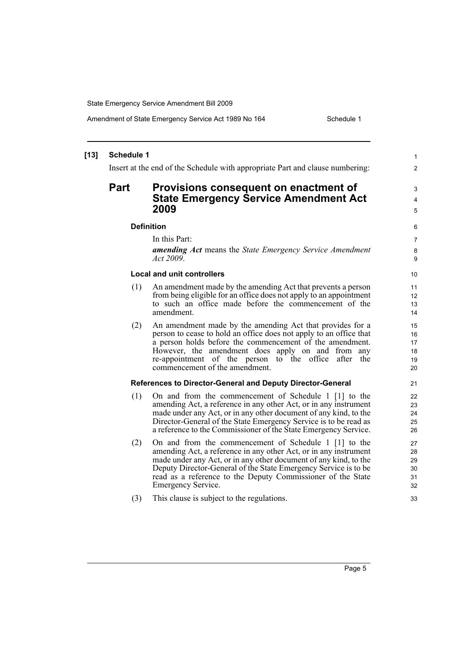Amendment of State Emergency Service Act 1989 No 164 Schedule 1

#### **[13] Schedule 1** Insert at the end of the Schedule with appropriate Part and clause numbering: **Part Provisions consequent on enactment of State Emergency Service Amendment Act 2009 Definition** In this Part: *amending Act* means the *State Emergency Service Amendment Act 2009*. **Local and unit controllers** (1) An amendment made by the amending Act that prevents a person from being eligible for an office does not apply to an appointment to such an office made before the commencement of the amendment. (2) An amendment made by the amending Act that provides for a person to cease to hold an office does not apply to an office that a person holds before the commencement of the amendment. However, the amendment does apply on and from any re-appointment of the person to the office after the commencement of the amendment. **References to Director-General and Deputy Director-General** (1) On and from the commencement of Schedule 1 [1] to the amending Act, a reference in any other Act, or in any instrument made under any Act, or in any other document of any kind, to the Director-General of the State Emergency Service is to be read as a reference to the Commissioner of the State Emergency Service. (2) On and from the commencement of Schedule 1 [1] to the amending Act, a reference in any other Act, or in any instrument made under any Act, or in any other document of any kind, to the Deputy Director-General of the State Emergency Service is to be read as a reference to the Deputy Commissioner of the State Emergency Service. (3) This clause is subject to the regulations. 1 2 3 4 5 6 7 8 **9** 10 11 12 13 14 15 16 17 18 19 20 21 22 23  $24$ 25 26 27 28 29 30 31 32 33